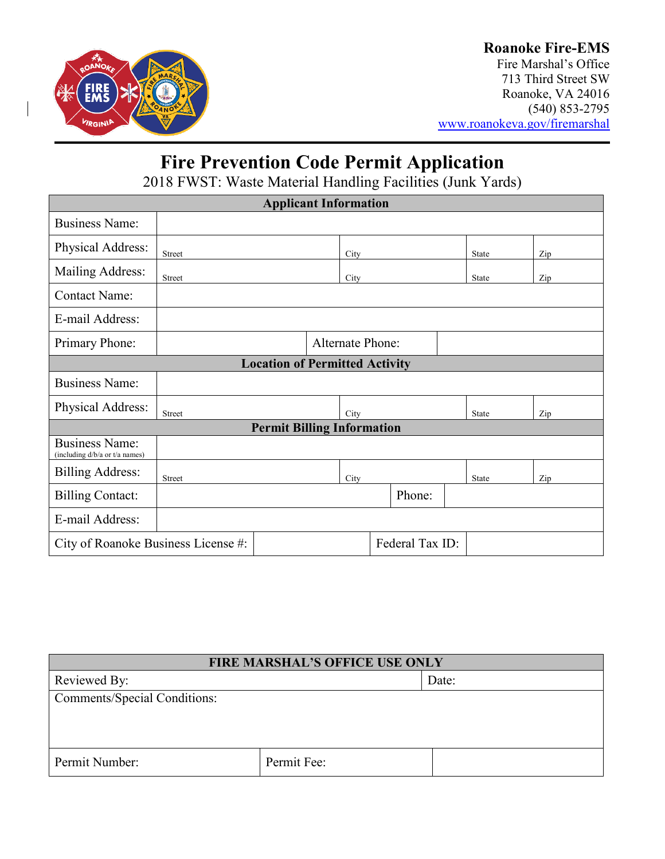

## **Roanoke Fire-EMS**

Fire Marshal's Office 713 Third Street SW Roanoke, VA 24016 (540) 853-2795 [www.roanokeva.gov/firemarshal](http://www.roanokeva.gov/firemarshal)

# **Fire Prevention Code Permit Application**

2018 FWST: Waste Material Handling Facilities (Junk Yards)

| <b>Applicant Information</b>                            |                         |  |      |        |  |  |              |     |  |
|---------------------------------------------------------|-------------------------|--|------|--------|--|--|--------------|-----|--|
| <b>Business Name:</b>                                   |                         |  |      |        |  |  |              |     |  |
| Physical Address:                                       | Street                  |  | City |        |  |  | State        | Zip |  |
| Mailing Address:                                        | Street                  |  | City |        |  |  | <b>State</b> | Zip |  |
| <b>Contact Name:</b>                                    |                         |  |      |        |  |  |              |     |  |
| E-mail Address:                                         |                         |  |      |        |  |  |              |     |  |
| Primary Phone:                                          | <b>Alternate Phone:</b> |  |      |        |  |  |              |     |  |
| <b>Location of Permitted Activity</b>                   |                         |  |      |        |  |  |              |     |  |
| <b>Business Name:</b>                                   |                         |  |      |        |  |  |              |     |  |
| Physical Address:                                       | Street                  |  | City |        |  |  | State        | Zip |  |
| <b>Permit Billing Information</b>                       |                         |  |      |        |  |  |              |     |  |
| <b>Business Name:</b><br>(including d/b/a or t/a names) |                         |  |      |        |  |  |              |     |  |
| <b>Billing Address:</b>                                 | <b>Street</b>           |  | City |        |  |  | State        | Zip |  |
| <b>Billing Contact:</b>                                 |                         |  |      | Phone: |  |  |              |     |  |
| E-mail Address:                                         |                         |  |      |        |  |  |              |     |  |
| Federal Tax ID:<br>City of Roanoke Business License #:  |                         |  |      |        |  |  |              |     |  |

| <b>FIRE MARSHAL'S OFFICE USE ONLY</b> |             |  |  |  |
|---------------------------------------|-------------|--|--|--|
| Reviewed By:                          | Date:       |  |  |  |
| Comments/Special Conditions:          |             |  |  |  |
|                                       |             |  |  |  |
|                                       |             |  |  |  |
| Permit Number:                        | Permit Fee: |  |  |  |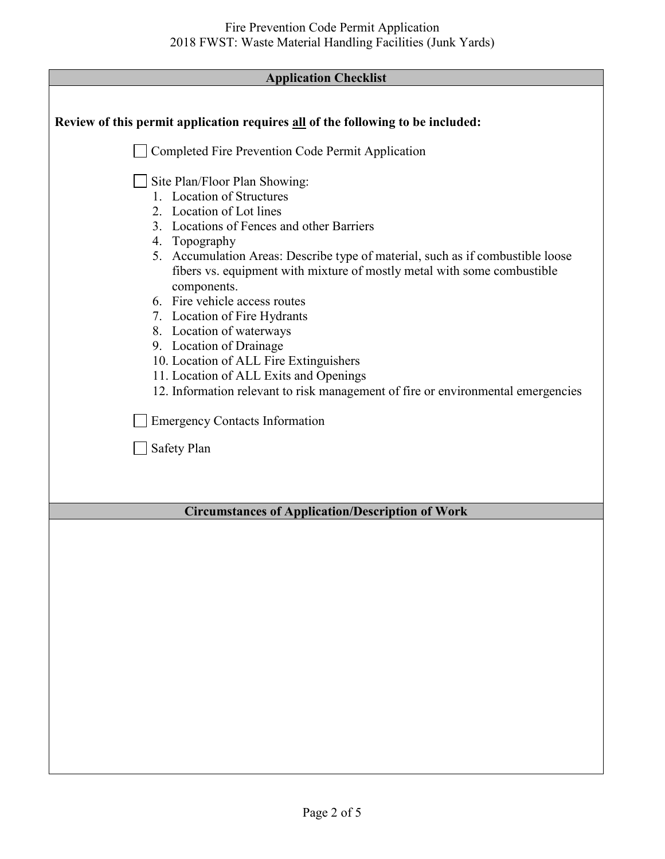| <b>Application Checklist</b> |  |
|------------------------------|--|
|------------------------------|--|

| Review of this permit application requires all of the following to be included:                                                                                                                                                                                                                                                                                                                                                                                                                                                                                                                                                  |  |
|----------------------------------------------------------------------------------------------------------------------------------------------------------------------------------------------------------------------------------------------------------------------------------------------------------------------------------------------------------------------------------------------------------------------------------------------------------------------------------------------------------------------------------------------------------------------------------------------------------------------------------|--|
| Completed Fire Prevention Code Permit Application                                                                                                                                                                                                                                                                                                                                                                                                                                                                                                                                                                                |  |
| Site Plan/Floor Plan Showing:<br>1. Location of Structures<br>2. Location of Lot lines<br>3. Locations of Fences and other Barriers<br>4. Topography<br>5. Accumulation Areas: Describe type of material, such as if combustible loose<br>fibers vs. equipment with mixture of mostly metal with some combustible<br>components.<br>6. Fire vehicle access routes<br>7. Location of Fire Hydrants<br>8. Location of waterways<br>9. Location of Drainage<br>10. Location of ALL Fire Extinguishers<br>11. Location of ALL Exits and Openings<br>12. Information relevant to risk management of fire or environmental emergencies |  |
| <b>Emergency Contacts Information</b>                                                                                                                                                                                                                                                                                                                                                                                                                                                                                                                                                                                            |  |
| <b>Safety Plan</b>                                                                                                                                                                                                                                                                                                                                                                                                                                                                                                                                                                                                               |  |
| <b>Circumstances of Application/Description of Work</b>                                                                                                                                                                                                                                                                                                                                                                                                                                                                                                                                                                          |  |
|                                                                                                                                                                                                                                                                                                                                                                                                                                                                                                                                                                                                                                  |  |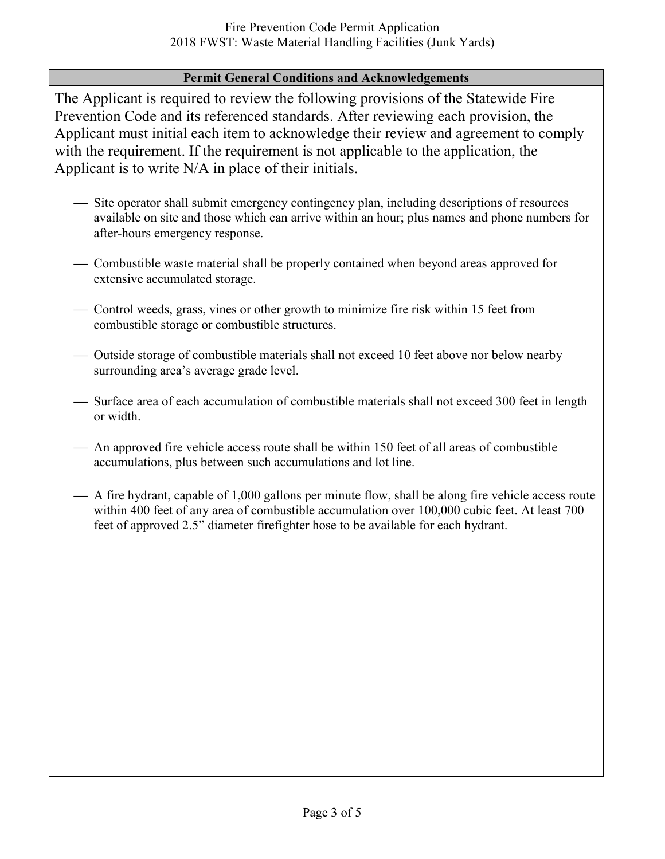### **Permit General Conditions and Acknowledgements**

The Applicant is required to review the following provisions of the Statewide Fire Prevention Code and its referenced standards. After reviewing each provision, the Applicant must initial each item to acknowledge their review and agreement to comply with the requirement. If the requirement is not applicable to the application, the Applicant is to write N/A in place of their initials.

- Site operator shall submit emergency contingency plan, including descriptions of resources available on site and those which can arrive within an hour; plus names and phone numbers for after-hours emergency response.
- Combustible waste material shall be properly contained when beyond areas approved for extensive accumulated storage.
- Control weeds, grass, vines or other growth to minimize fire risk within 15 feet from combustible storage or combustible structures.
- Outside storage of combustible materials shall not exceed 10 feet above nor below nearby surrounding area's average grade level.
- Surface area of each accumulation of combustible materials shall not exceed 300 feet in length or width.
- An approved fire vehicle access route shall be within 150 feet of all areas of combustible accumulations, plus between such accumulations and lot line.
- A fire hydrant, capable of 1,000 gallons per minute flow, shall be along fire vehicle access route within 400 feet of any area of combustible accumulation over 100,000 cubic feet. At least 700 feet of approved 2.5" diameter firefighter hose to be available for each hydrant.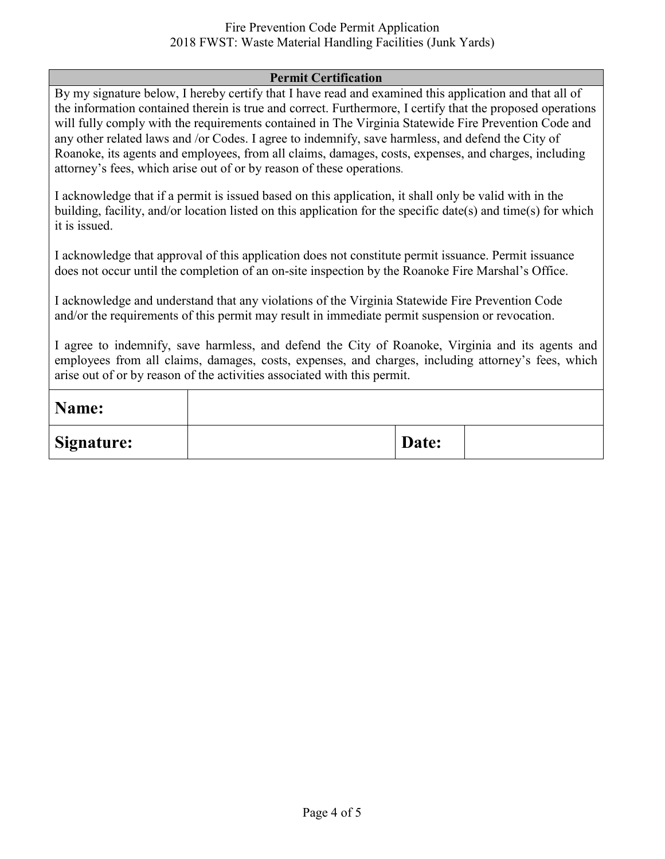#### Fire Prevention Code Permit Application 2018 FWST: Waste Material Handling Facilities (Junk Yards)

#### **Permit Certification**

By my signature below, I hereby certify that I have read and examined this application and that all of the information contained therein is true and correct. Furthermore, I certify that the proposed operations will fully comply with the requirements contained in The Virginia Statewide Fire Prevention Code and any other related laws and /or Codes. I agree to indemnify, save harmless, and defend the City of Roanoke, its agents and employees, from all claims, damages, costs, expenses, and charges, including attorney's fees, which arise out of or by reason of these operations.

I acknowledge that if a permit is issued based on this application, it shall only be valid with in the building, facility, and/or location listed on this application for the specific date(s) and time(s) for which it is issued.

I acknowledge that approval of this application does not constitute permit issuance. Permit issuance does not occur until the completion of an on-site inspection by the Roanoke Fire Marshal's Office.

I acknowledge and understand that any violations of the Virginia Statewide Fire Prevention Code and/or the requirements of this permit may result in immediate permit suspension or revocation.

I agree to indemnify, save harmless, and defend the City of Roanoke, Virginia and its agents and employees from all claims, damages, costs, expenses, and charges, including attorney's fees, which arise out of or by reason of the activities associated with this permit.

| Name:             |       |  |
|-------------------|-------|--|
| <b>Signature:</b> | Date: |  |